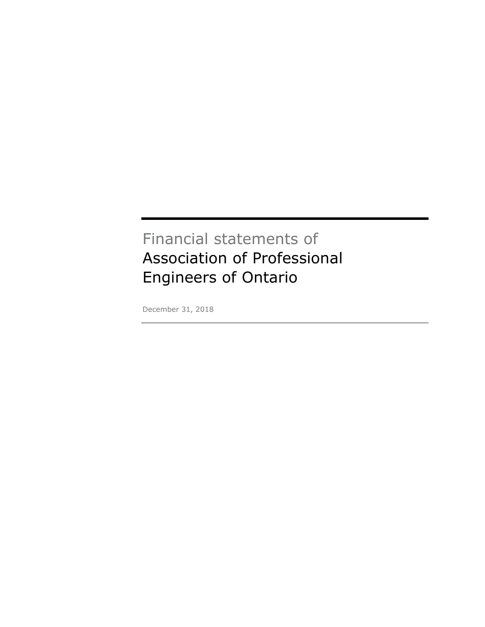# Financial statements of Association of Professional Engineers of Ontario

December 31, 2018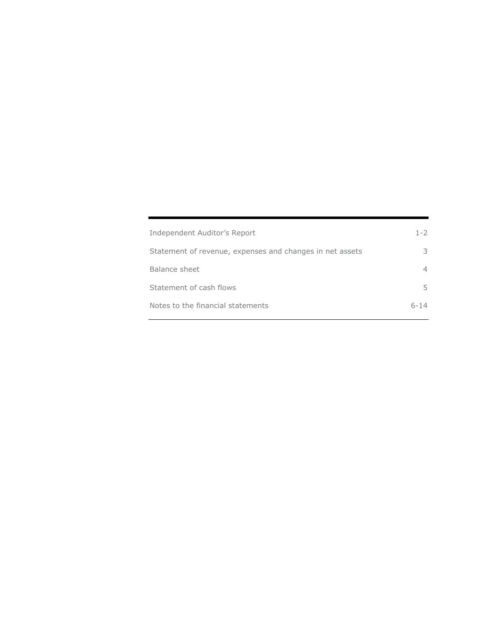| Independent Auditor's Report                             | $1 - 2$  |
|----------------------------------------------------------|----------|
| Statement of revenue, expenses and changes in net assets | 3        |
| Balance sheet                                            | 4        |
| Statement of cash flows                                  | 5.       |
| Notes to the financial statements                        | $6 - 14$ |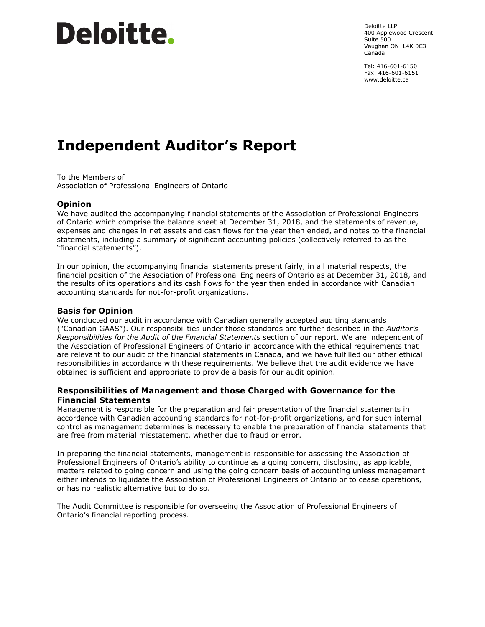# **Deloitte**.

Deloitte LLP 400 Applewood Crescent Suite 500 Vaughan ON L4K 0C3 Canada

Tel: 416-601-6150 Fax: 416-601-6151 www.deloitte.ca

# **Independent Auditor's Report**

To the Members of Association of Professional Engineers of Ontario

#### **Opinion**

We have audited the accompanying financial statements of the Association of Professional Engineers of Ontario which comprise the balance sheet at December 31, 2018, and the statements of revenue, expenses and changes in net assets and cash flows for the year then ended, and notes to the financial statements, including a summary of significant accounting policies (collectively referred to as the "financial statements").

In our opinion, the accompanying financial statements present fairly, in all material respects, the financial position of the Association of Professional Engineers of Ontario as at December 31, 2018, and the results of its operations and its cash flows for the year then ended in accordance with Canadian accounting standards for not-for-profit organizations.

#### **Basis for Opinion**

We conducted our audit in accordance with Canadian generally accepted auditing standards ("Canadian GAAS"). Our responsibilities under those standards are further described in the *Auditor's Responsibilities for the Audit of the Financial Statements* section of our report. We are independent of the Association of Professional Engineers of Ontario in accordance with the ethical requirements that are relevant to our audit of the financial statements in Canada, and we have fulfilled our other ethical responsibilities in accordance with these requirements. We believe that the audit evidence we have obtained is sufficient and appropriate to provide a basis for our audit opinion.

#### **Responsibilities of Management and those Charged with Governance for the Financial Statements**

Management is responsible for the preparation and fair presentation of the financial statements in accordance with Canadian accounting standards for not-for-profit organizations, and for such internal control as management determines is necessary to enable the preparation of financial statements that are free from material misstatement, whether due to fraud or error.

In preparing the financial statements, management is responsible for assessing the Association of Professional Engineers of Ontario's ability to continue as a going concern, disclosing, as applicable, matters related to going concern and using the going concern basis of accounting unless management either intends to liquidate the Association of Professional Engineers of Ontario or to cease operations, or has no realistic alternative but to do so.

The Audit Committee is responsible for overseeing the Association of Professional Engineers of Ontario's financial reporting process.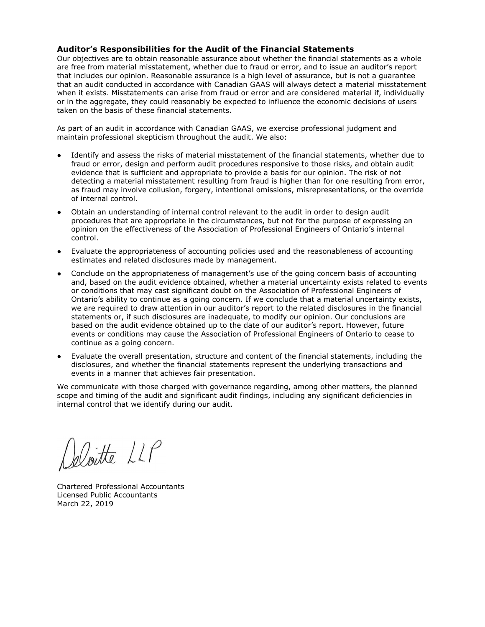#### **Auditor's Responsibilities for the Audit of the Financial Statements**

Our objectives are to obtain reasonable assurance about whether the financial statements as a whole are free from material misstatement, whether due to fraud or error, and to issue an auditor's report that includes our opinion. Reasonable assurance is a high level of assurance, but is not a guarantee that an audit conducted in accordance with Canadian GAAS will always detect a material misstatement when it exists. Misstatements can arise from fraud or error and are considered material if, individually or in the aggregate, they could reasonably be expected to influence the economic decisions of users taken on the basis of these financial statements.

As part of an audit in accordance with Canadian GAAS, we exercise professional judgment and maintain professional skepticism throughout the audit. We also:

- Identify and assess the risks of material misstatement of the financial statements, whether due to fraud or error, design and perform audit procedures responsive to those risks, and obtain audit evidence that is sufficient and appropriate to provide a basis for our opinion. The risk of not detecting a material misstatement resulting from fraud is higher than for one resulting from error, as fraud may involve collusion, forgery, intentional omissions, misrepresentations, or the override of internal control.
- Obtain an understanding of internal control relevant to the audit in order to design audit procedures that are appropriate in the circumstances, but not for the purpose of expressing an opinion on the effectiveness of the Association of Professional Engineers of Ontario's internal control.
- Evaluate the appropriateness of accounting policies used and the reasonableness of accounting estimates and related disclosures made by management.
- Conclude on the appropriateness of management's use of the going concern basis of accounting and, based on the audit evidence obtained, whether a material uncertainty exists related to events or conditions that may cast significant doubt on the Association of Professional Engineers of Ontario's ability to continue as a going concern. If we conclude that a material uncertainty exists, we are required to draw attention in our auditor's report to the related disclosures in the financial statements or, if such disclosures are inadequate, to modify our opinion. Our conclusions are based on the audit evidence obtained up to the date of our auditor's report. However, future events or conditions may cause the Association of Professional Engineers of Ontario to cease to continue as a going concern.
- Evaluate the overall presentation, structure and content of the financial statements, including the disclosures, and whether the financial statements represent the underlying transactions and events in a manner that achieves fair presentation.

We communicate with those charged with governance regarding, among other matters, the planned scope and timing of the audit and significant audit findings, including any significant deficiencies in internal control that we identify during our audit.

Deloitte LLP

Chartered Professional Accountants Licensed Public Accountants March 22, 2019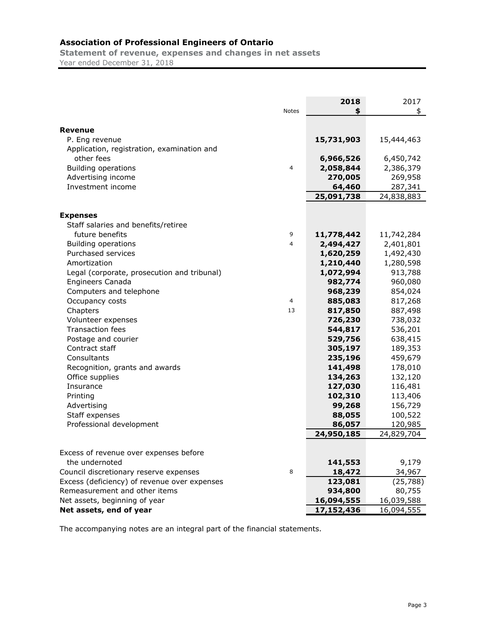## **Association of Professional Engineers of Ontario**

**Statement of revenue, expenses and changes in net assets** Year ended December 31, 2018

|                                              | <b>Notes</b> | 2018<br>\$ | 2017<br>\$ |
|----------------------------------------------|--------------|------------|------------|
|                                              |              |            |            |
| <b>Revenue</b>                               |              |            |            |
| P. Eng revenue                               |              | 15,731,903 | 15,444,463 |
| Application, registration, examination and   |              |            |            |
| other fees                                   |              | 6,966,526  | 6,450,742  |
| <b>Building operations</b>                   | 4            | 2,058,844  | 2,386,379  |
| Advertising income                           |              | 270,005    | 269,958    |
| Investment income                            |              | 64,460     | 287,341    |
|                                              |              | 25,091,738 | 24,838,883 |
| <b>Expenses</b>                              |              |            |            |
| Staff salaries and benefits/retiree          |              |            |            |
| future benefits                              | 9            | 11,778,442 | 11,742,284 |
| <b>Building operations</b>                   | 4            | 2,494,427  | 2,401,801  |
| Purchased services                           |              | 1,620,259  | 1,492,430  |
| Amortization                                 |              | 1,210,440  | 1,280,598  |
| Legal (corporate, prosecution and tribunal)  |              | 1,072,994  | 913,788    |
| Engineers Canada                             |              | 982,774    | 960,080    |
| Computers and telephone                      |              | 968,239    | 854,024    |
| Occupancy costs                              | 4            | 885,083    | 817,268    |
| Chapters                                     | 13           | 817,850    | 887,498    |
| Volunteer expenses                           |              | 726,230    | 738,032    |
| <b>Transaction fees</b>                      |              | 544,817    | 536,201    |
| Postage and courier                          |              | 529,756    | 638,415    |
| Contract staff                               |              | 305,197    | 189,353    |
| Consultants                                  |              | 235,196    | 459,679    |
| Recognition, grants and awards               |              | 141,498    | 178,010    |
| Office supplies                              |              | 134,263    | 132,120    |
| Insurance                                    |              | 127,030    | 116,481    |
| Printing                                     |              | 102,310    | 113,406    |
| Advertising                                  |              | 99,268     | 156,729    |
| Staff expenses                               |              | 88,055     | 100,522    |
| Professional development                     |              | 86,057     | 120,985    |
|                                              |              | 24,950,185 | 24,829,704 |
| Excess of revenue over expenses before       |              |            |            |
| the undernoted                               |              | 141,553    | 9,179      |
| Council discretionary reserve expenses       | 8            | 18,472     | 34,967     |
| Excess (deficiency) of revenue over expenses |              | 123,081    | (25, 788)  |
| Remeasurement and other items                |              | 934,800    | 80,755     |
| Net assets, beginning of year                |              | 16,094,555 | 16,039,588 |
| Net assets, end of year                      |              | 17,152,436 | 16,094,555 |

The accompanying notes are an integral part of the financial statements.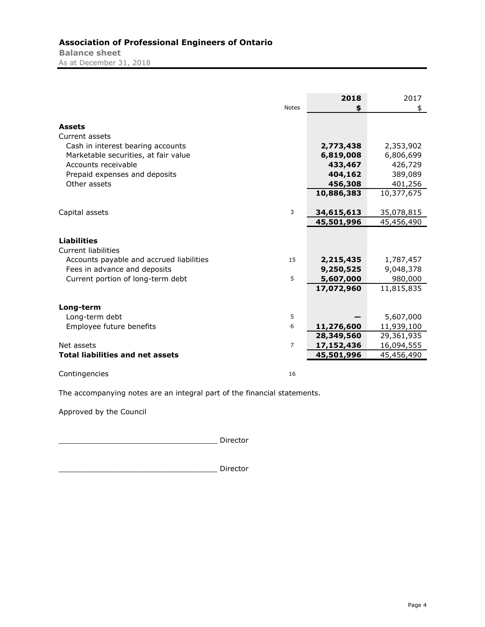# **Association of Professional Engineers of Ontario**

**Balance sheet** As at December 31, 2018

|                                                  | <b>Notes</b>   | 2018<br>\$ | 2017<br>\$ |
|--------------------------------------------------|----------------|------------|------------|
| <b>Assets</b>                                    |                |            |            |
| Current assets                                   |                |            |            |
| Cash in interest bearing accounts                |                | 2,773,438  | 2,353,902  |
| Marketable securities, at fair value             |                | 6,819,008  | 6,806,699  |
| Accounts receivable                              |                | 433,467    | 426,729    |
| Prepaid expenses and deposits                    |                | 404,162    | 389,089    |
| Other assets                                     |                | 456,308    | 401,256    |
|                                                  |                | 10,886,383 | 10,377,675 |
|                                                  |                |            |            |
| Capital assets                                   | 3              | 34,615,613 | 35,078,815 |
|                                                  |                | 45,501,996 | 45,456,490 |
| <b>Liabilities</b><br><b>Current liabilities</b> |                |            |            |
| Accounts payable and accrued liabilities         | 15             | 2,215,435  | 1,787,457  |
| Fees in advance and deposits                     |                | 9,250,525  | 9,048,378  |
| Current portion of long-term debt                | 5              | 5,607,000  | 980,000    |
|                                                  |                | 17,072,960 | 11,815,835 |
| Long-term                                        |                |            |            |
| Long-term debt                                   | 5              |            | 5,607,000  |
| Employee future benefits                         | 6              | 11,276,600 | 11,939,100 |
|                                                  |                | 28,349,560 | 29,361,935 |
| Net assets                                       | $\overline{7}$ | 17,152,436 | 16,094,555 |
| <b>Total liabilities and net assets</b>          |                | 45,501,996 | 45,456,490 |
|                                                  |                |            |            |
| Contingencies                                    | 16             |            |            |

The accompanying notes are an integral part of the financial statements.

Approved by the Council

\_\_\_\_\_\_\_\_\_\_\_\_\_\_\_\_\_\_\_\_\_\_\_\_\_\_\_\_\_\_\_\_\_\_\_ Director

\_\_\_\_\_\_\_\_\_\_\_\_\_\_\_\_\_\_\_\_\_\_\_\_\_\_\_\_\_\_\_\_\_\_\_ Director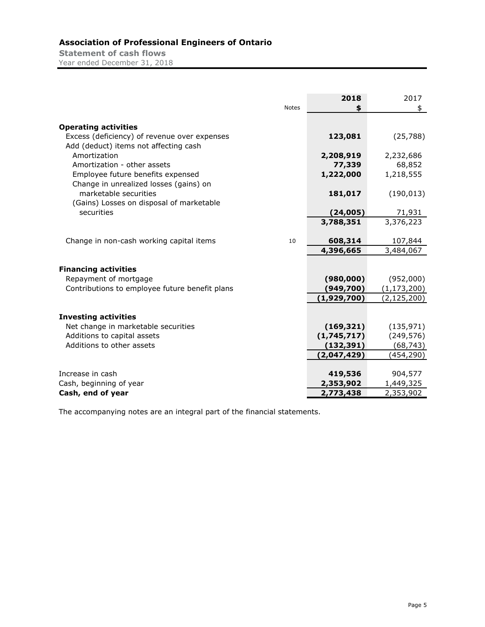# **Association of Professional Engineers of Ontario**

**Statement of cash flows** Year ended December 31, 2018

|                                                |              | 2018        | 2017          |
|------------------------------------------------|--------------|-------------|---------------|
|                                                | <b>Notes</b> | \$          | \$            |
| <b>Operating activities</b>                    |              |             |               |
| Excess (deficiency) of revenue over expenses   |              | 123,081     | (25, 788)     |
| Add (deduct) items not affecting cash          |              |             |               |
| Amortization                                   |              | 2,208,919   | 2,232,686     |
| Amortization - other assets                    |              | 77,339      | 68,852        |
| Employee future benefits expensed              |              | 1,222,000   | 1,218,555     |
| Change in unrealized losses (gains) on         |              |             |               |
| marketable securities                          |              | 181,017     | (190, 013)    |
| (Gains) Losses on disposal of marketable       |              |             |               |
| securities                                     |              | (24,005)    | 71,931        |
|                                                |              | 3,788,351   | 3,376,223     |
| Change in non-cash working capital items       | 10           | 608,314     | 107,844       |
|                                                |              | 4,396,665   | 3,484,067     |
|                                                |              |             |               |
| <b>Financing activities</b>                    |              |             |               |
| Repayment of mortgage                          |              | (980,000)   | (952,000)     |
| Contributions to employee future benefit plans |              | (949, 700)  | (1, 173, 200) |
|                                                |              | (1,929,700) | (2, 125, 200) |
| <b>Investing activities</b>                    |              |             |               |
| Net change in marketable securities            |              | (169, 321)  | (135, 971)    |
| Additions to capital assets                    |              | (1,745,717) | (249, 576)    |
| Additions to other assets                      |              | (132, 391)  | (68, 743)     |
|                                                |              | (2,047,429) | (454,290)     |
|                                                |              |             |               |
| Increase in cash                               |              | 419,536     | 904,577       |
| Cash, beginning of year                        |              | 2,353,902   | 1,449,325     |
| Cash, end of year                              |              | 2,773,438   | 2,353,902     |

The accompanying notes are an integral part of the financial statements.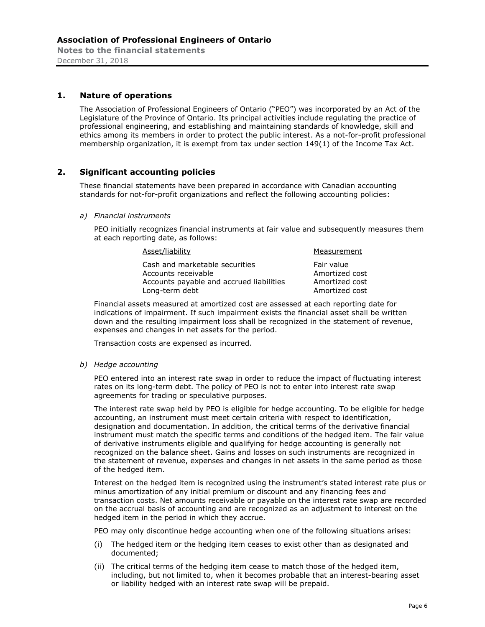#### **1. Nature of operations**

The Association of Professional Engineers of Ontario ("PEO") was incorporated by an Act of the Legislature of the Province of Ontario. Its principal activities include regulating the practice of professional engineering, and establishing and maintaining standards of knowledge, skill and ethics among its members in order to protect the public interest. As a not-for-profit professional membership organization, it is exempt from tax under section 149(1) of the Income Tax Act.

#### **2. Significant accounting policies**

These financial statements have been prepared in accordance with Canadian accounting standards for not-for-profit organizations and reflect the following accounting policies:

#### *a) Financial instruments*

PEO initially recognizes financial instruments at fair value and subsequently measures them at each reporting date, as follows:

| Asset/liability                          | Measurement    |
|------------------------------------------|----------------|
| Cash and marketable securities           | Fair value     |
| Accounts receivable                      | Amortized cost |
| Accounts payable and accrued liabilities | Amortized cost |
| Long-term debt                           | Amortized cost |

Financial assets measured at amortized cost are assessed at each reporting date for indications of impairment. If such impairment exists the financial asset shall be written down and the resulting impairment loss shall be recognized in the statement of revenue, expenses and changes in net assets for the period.

Transaction costs are expensed as incurred.

#### *b) Hedge accounting*

PEO entered into an interest rate swap in order to reduce the impact of fluctuating interest rates on its long-term debt. The policy of PEO is not to enter into interest rate swap agreements for trading or speculative purposes.

The interest rate swap held by PEO is eligible for hedge accounting. To be eligible for hedge accounting, an instrument must meet certain criteria with respect to identification, designation and documentation. In addition, the critical terms of the derivative financial instrument must match the specific terms and conditions of the hedged item. The fair value of derivative instruments eligible and qualifying for hedge accounting is generally not recognized on the balance sheet. Gains and losses on such instruments are recognized in the statement of revenue, expenses and changes in net assets in the same period as those of the hedged item.

Interest on the hedged item is recognized using the instrument's stated interest rate plus or minus amortization of any initial premium or discount and any financing fees and transaction costs. Net amounts receivable or payable on the interest rate swap are recorded on the accrual basis of accounting and are recognized as an adjustment to interest on the hedged item in the period in which they accrue.

PEO may only discontinue hedge accounting when one of the following situations arises:

- (i) The hedged item or the hedging item ceases to exist other than as designated and documented;
- (ii) The critical terms of the hedging item cease to match those of the hedged item, including, but not limited to, when it becomes probable that an interest-bearing asset or liability hedged with an interest rate swap will be prepaid.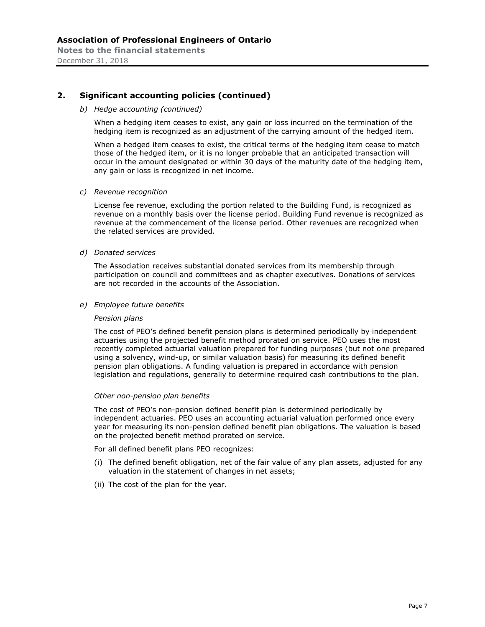#### **2. Significant accounting policies (continued)**

#### *b) Hedge accounting (continued)*

When a hedging item ceases to exist, any gain or loss incurred on the termination of the hedging item is recognized as an adjustment of the carrying amount of the hedged item.

When a hedged item ceases to exist, the critical terms of the hedging item cease to match those of the hedged item, or it is no longer probable that an anticipated transaction will occur in the amount designated or within 30 days of the maturity date of the hedging item, any gain or loss is recognized in net income.

#### *c) Revenue recognition*

License fee revenue, excluding the portion related to the Building Fund, is recognized as revenue on a monthly basis over the license period. Building Fund revenue is recognized as revenue at the commencement of the license period. Other revenues are recognized when the related services are provided.

#### *d) Donated services*

The Association receives substantial donated services from its membership through participation on council and committees and as chapter executives. Donations of services are not recorded in the accounts of the Association.

#### *e) Employee future benefits*

#### *Pension plans*

The cost of PEO's defined benefit pension plans is determined periodically by independent actuaries using the projected benefit method prorated on service. PEO uses the most recently completed actuarial valuation prepared for funding purposes (but not one prepared using a solvency, wind-up, or similar valuation basis) for measuring its defined benefit pension plan obligations. A funding valuation is prepared in accordance with pension legislation and regulations, generally to determine required cash contributions to the plan.

#### *Other non-pension plan benefits*

The cost of PEO's non-pension defined benefit plan is determined periodically by independent actuaries. PEO uses an accounting actuarial valuation performed once every year for measuring its non-pension defined benefit plan obligations. The valuation is based on the projected benefit method prorated on service.

For all defined benefit plans PEO recognizes:

- (i) The defined benefit obligation, net of the fair value of any plan assets, adjusted for any valuation in the statement of changes in net assets;
- (ii) The cost of the plan for the year.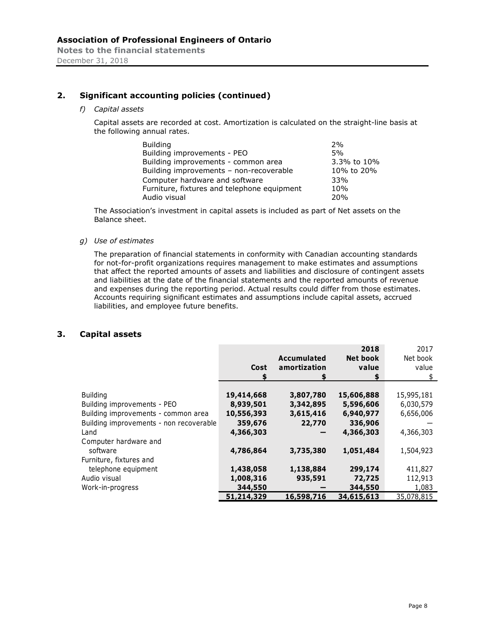#### **2. Significant accounting policies (continued)**

#### *f) Capital assets*

Capital assets are recorded at cost. Amortization is calculated on the straight-line basis at the following annual rates.

| <b>Building</b>                             | 2%          |
|---------------------------------------------|-------------|
| Building improvements - PEO                 | 5%          |
| Building improvements - common area         | 3.3% to 10% |
| Building improvements - non-recoverable     | 10% to 20%  |
| Computer hardware and software              | 33%         |
| Furniture, fixtures and telephone equipment | 10%         |
| Audio visual                                | 20%         |

The Association's investment in capital assets is included as part of Net assets on the Balance sheet.

#### *g) Use of estimates*

The preparation of financial statements in conformity with Canadian accounting standards for not-for-profit organizations requires management to make estimates and assumptions that affect the reported amounts of assets and liabilities and disclosure of contingent assets and liabilities at the date of the financial statements and the reported amounts of revenue and expenses during the reporting period. Actual results could differ from those estimates. Accounts requiring significant estimates and assumptions include capital assets, accrued liabilities, and employee future benefits.

#### **3. Capital assets**

|                                         |            |              | 2018            | 2017       |
|-----------------------------------------|------------|--------------|-----------------|------------|
|                                         |            | Accumulated  | <b>Net book</b> | Net book   |
|                                         | Cost       | amortization | value           | value      |
|                                         |            |              | S               |            |
|                                         |            |              |                 |            |
| <b>Building</b>                         | 19,414,668 | 3,807,780    | 15,606,888      | 15,995,181 |
| Building improvements - PEO             | 8,939,501  | 3,342,895    | 5,596,606       | 6,030,579  |
| Building improvements - common area     | 10,556,393 | 3,615,416    | 6,940,977       | 6,656,006  |
| Building improvements - non recoverable | 359,676    | 22,770       | 336,906         |            |
| Land                                    | 4,366,303  |              | 4,366,303       | 4,366,303  |
| Computer hardware and                   |            |              |                 |            |
| software                                | 4,786,864  | 3,735,380    | 1,051,484       | 1,504,923  |
| Furniture, fixtures and                 |            |              |                 |            |
| telephone equipment                     | 1,438,058  | 1,138,884    | 299,174         | 411,827    |
| Audio visual                            | 1,008,316  | 935,591      | 72,725          | 112,913    |
| Work-in-progress                        | 344,550    |              | 344,550         | 1,083      |
|                                         | 51,214,329 | 16,598,716   | 34,615,613      | 35,078,815 |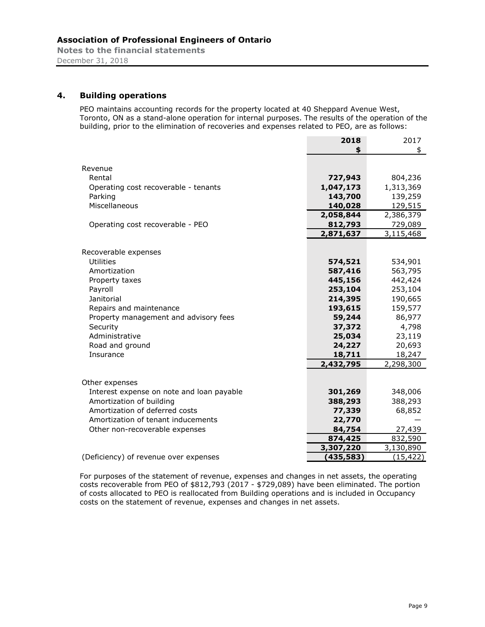#### **4. Building operations**

PEO maintains accounting records for the property located at 40 Sheppard Avenue West, Toronto, ON as a stand-alone operation for internal purposes. The results of the operation of the building, prior to the elimination of recoveries and expenses related to PEO, are as follows:

|                                           | 2018       | 2017      |
|-------------------------------------------|------------|-----------|
|                                           |            | \$        |
|                                           |            |           |
| Revenue                                   |            |           |
| Rental                                    | 727,943    | 804,236   |
| Operating cost recoverable - tenants      | 1,047,173  | 1,313,369 |
| Parking                                   | 143,700    | 139,259   |
| Miscellaneous                             | 140,028    | 129,515   |
|                                           | 2,058,844  | 2,386,379 |
| Operating cost recoverable - PEO          | 812,793    | 729,089   |
|                                           | 2,871,637  | 3,115,468 |
|                                           |            |           |
| Recoverable expenses                      |            |           |
| Utilities                                 | 574,521    | 534,901   |
| Amortization                              | 587,416    | 563,795   |
| Property taxes                            | 445,156    | 442,424   |
| Payroll                                   | 253,104    | 253,104   |
| Janitorial                                | 214,395    | 190,665   |
| Repairs and maintenance                   | 193,615    | 159,577   |
| Property management and advisory fees     | 59,244     | 86,977    |
| Security                                  | 37,372     | 4,798     |
| Administrative                            | 25,034     | 23,119    |
| Road and ground                           | 24,227     | 20,693    |
| Insurance                                 | 18,711     | 18,247    |
|                                           | 2,432,795  | 2,298,300 |
|                                           |            |           |
| Other expenses                            |            |           |
| Interest expense on note and loan payable | 301,269    | 348,006   |
| Amortization of building                  | 388,293    | 388,293   |
| Amortization of deferred costs            | 77,339     | 68,852    |
| Amortization of tenant inducements        | 22,770     |           |
| Other non-recoverable expenses            | 84,754     | 27,439    |
|                                           | 874,425    | 832,590   |
|                                           | 3,307,220  | 3,130,890 |
| (Deficiency) of revenue over expenses     | (435, 583) | (15, 422) |

For purposes of the statement of revenue, expenses and changes in net assets, the operating costs recoverable from PEO of \$812,793 (2017 - \$729,089) have been eliminated. The portion of costs allocated to PEO is reallocated from Building operations and is included in Occupancy costs on the statement of revenue, expenses and changes in net assets.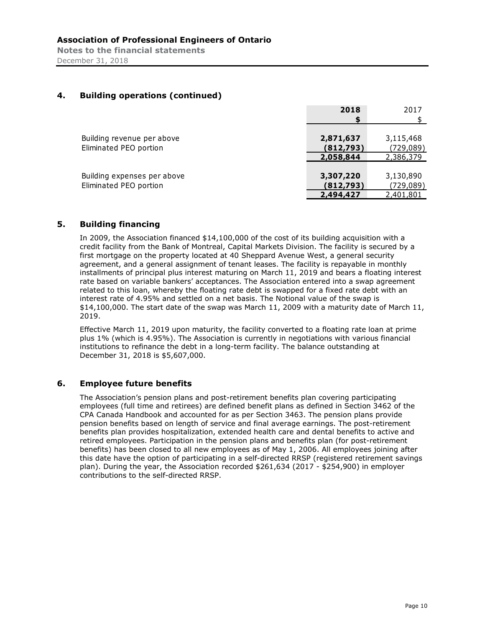### **4. Building operations (continued)**

|                             | 2018       | 2017       |
|-----------------------------|------------|------------|
|                             |            |            |
|                             |            |            |
| Building revenue per above  | 2,871,637  | 3,115,468  |
| Eliminated PEO portion      | (812, 793) | (729, 089) |
|                             | 2,058,844  | 2,386,379  |
|                             |            |            |
| Building expenses per above | 3,307,220  | 3,130,890  |
| Eliminated PEO portion      | (812, 793) | (729, 089) |
|                             | 2,494,427  | 2,401,801  |
|                             |            |            |

#### **5. Building financing**

In 2009, the Association financed \$14,100,000 of the cost of its building acquisition with a credit facility from the Bank of Montreal, Capital Markets Division. The facility is secured by a first mortgage on the property located at 40 Sheppard Avenue West, a general security agreement, and a general assignment of tenant leases. The facility is repayable in monthly installments of principal plus interest maturing on March 11, 2019 and bears a floating interest rate based on variable bankers' acceptances. The Association entered into a swap agreement related to this loan, whereby the floating rate debt is swapped for a fixed rate debt with an interest rate of 4.95% and settled on a net basis. The Notional value of the swap is \$14,100,000. The start date of the swap was March 11, 2009 with a maturity date of March 11, 2019.

Effective March 11, 2019 upon maturity, the facility converted to a floating rate loan at prime plus 1% (which is 4.95%). The Association is currently in negotiations with various financial institutions to refinance the debt in a long-term facility. The balance outstanding at December 31, 2018 is \$5,607,000.

#### **6. Employee future benefits**

The Association's pension plans and post-retirement benefits plan covering participating employees (full time and retirees) are defined benefit plans as defined in Section 3462 of the CPA Canada Handbook and accounted for as per Section 3463. The pension plans provide pension benefits based on length of service and final average earnings. The post-retirement benefits plan provides hospitalization, extended health care and dental benefits to active and retired employees. Participation in the pension plans and benefits plan (for post-retirement benefits) has been closed to all new employees as of May 1, 2006. All employees joining after this date have the option of participating in a self-directed RRSP (registered retirement savings plan). During the year, the Association recorded \$261,634 (2017 - \$254,900) in employer contributions to the self-directed RRSP.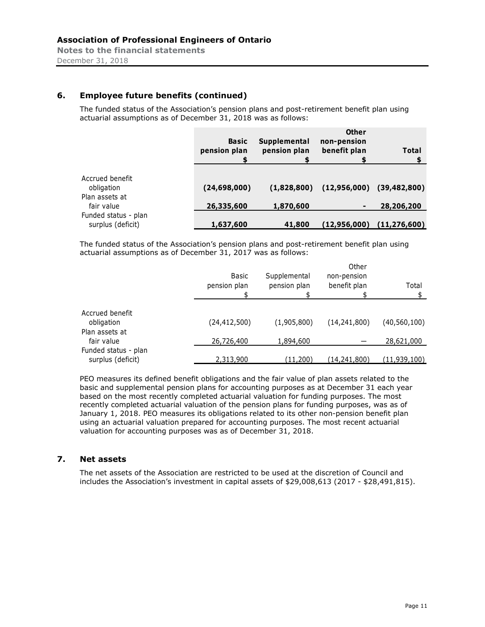#### **6. Employee future benefits (continued)**

The funded status of the Association's pension plans and post-retirement benefit plan using actuarial assumptions as of December 31, 2018 was as follows:

|                      | <b>Basic</b><br>pension plan | Supplemental<br>pension plan | <b>Other</b><br>non-pension<br>benefit plan | <b>Total</b>                  |
|----------------------|------------------------------|------------------------------|---------------------------------------------|-------------------------------|
|                      |                              |                              |                                             |                               |
| Accrued benefit      |                              |                              |                                             |                               |
| obligation           | (24, 698, 000)               | (1,828,800)                  |                                             | $(12,956,000)$ $(39,482,800)$ |
| Plan assets at       |                              |                              |                                             |                               |
| fair value           | 26,335,600                   | 1,870,600                    |                                             | 28,206,200                    |
| Funded status - plan |                              |                              |                                             |                               |
| surplus (deficit)    | 1,637,600                    | 41,800                       | (12,956,000)                                | (11, 276, 600)                |

The funded status of the Association's pension plans and post-retirement benefit plan using actuarial assumptions as of December 31, 2017 was as follows:

|                                           | Basic<br>pension plan | Supplemental<br>pension plan | Other<br>non-pension<br>benefit plan | Total          |
|-------------------------------------------|-----------------------|------------------------------|--------------------------------------|----------------|
| Accrued benefit<br>obligation             | (24, 412, 500)        | (1,905,800)                  | (14, 241, 800)                       | (40, 560, 100) |
| Plan assets at<br>fair value              | 26,726,400            | 1,894,600                    |                                      | 28,621,000     |
| Funded status - plan<br>surplus (deficit) | 2,313,900             | (11,200)                     | <u>(14,241,800)</u>                  | (11,939,100)   |

PEO measures its defined benefit obligations and the fair value of plan assets related to the basic and supplemental pension plans for accounting purposes as at December 31 each year based on the most recently completed actuarial valuation for funding purposes. The most recently completed actuarial valuation of the pension plans for funding purposes, was as of January 1, 2018. PEO measures its obligations related to its other non-pension benefit plan using an actuarial valuation prepared for accounting purposes. The most recent actuarial valuation for accounting purposes was as of December 31, 2018.

#### **7. Net assets**

The net assets of the Association are restricted to be used at the discretion of Council and includes the Association's investment in capital assets of \$29,008,613 (2017 - \$28,491,815).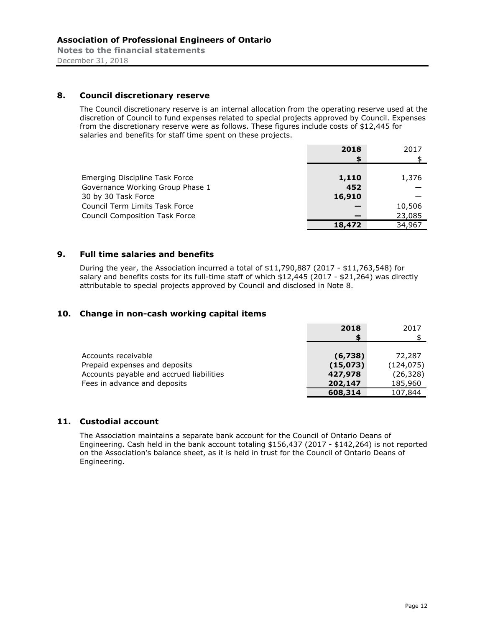#### **8. Council discretionary reserve**

The Council discretionary reserve is an internal allocation from the operating reserve used at the discretion of Council to fund expenses related to special projects approved by Council. Expenses from the discretionary reserve were as follows. These figures include costs of \$12,445 for salaries and benefits for staff time spent on these projects.

|                                       | 2018   | 2017   |
|---------------------------------------|--------|--------|
|                                       |        |        |
| Emerging Discipline Task Force        | 1,110  | 1,376  |
| Governance Working Group Phase 1      | 452    |        |
| 30 by 30 Task Force                   | 16,910 |        |
| Council Term Limits Task Force        |        | 10,506 |
| <b>Council Composition Task Force</b> |        | 23,085 |
|                                       | 18,472 | 34,967 |

#### **9. Full time salaries and benefits**

During the year, the Association incurred a total of \$11,790,887 (2017 - \$11,763,548) for salary and benefits costs for its full-time staff of which \$12,445 (2017 - \$21,264) was directly attributable to special projects approved by Council and disclosed in Note 8.

#### **10. Change in non-cash working capital items**

|                                          | 2018     | 2017       |
|------------------------------------------|----------|------------|
|                                          |          |            |
|                                          |          |            |
| Accounts receivable                      | (6,738)  | 72,287     |
| Prepaid expenses and deposits            | (15,073) | (124, 075) |
| Accounts payable and accrued liabilities | 427,978  | (26, 328)  |
| Fees in advance and deposits             | 202,147  | 185,960    |
|                                          | 608,314  | 107,844    |

#### **11. Custodial account**

The Association maintains a separate bank account for the Council of Ontario Deans of Engineering. Cash held in the bank account totaling \$156,437 (2017 - \$142,264) is not reported on the Association's balance sheet, as it is held in trust for the Council of Ontario Deans of Engineering.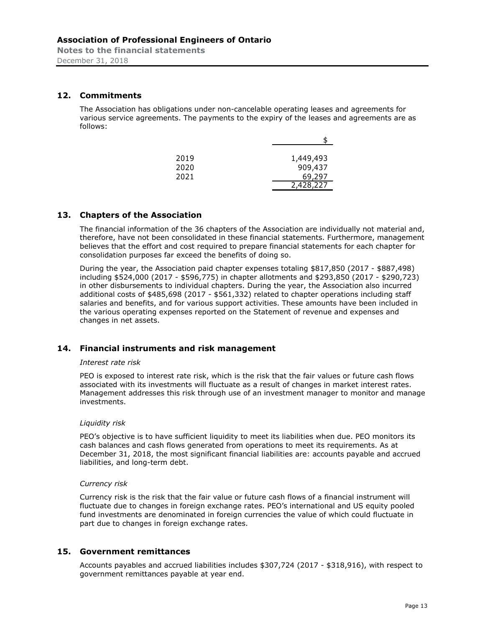#### **12. Commitments**

The Association has obligations under non-cancelable operating leases and agreements for various service agreements. The payments to the expiry of the leases and agreements are as follows:

| 2019 | 1,449,493 |
|------|-----------|
| 2020 | 909,437   |
| 2021 | 69,297    |
|      | 2,428,227 |

#### **13. Chapters of the Association**

The financial information of the 36 chapters of the Association are individually not material and, therefore, have not been consolidated in these financial statements. Furthermore, management believes that the effort and cost required to prepare financial statements for each chapter for consolidation purposes far exceed the benefits of doing so.

During the year, the Association paid chapter expenses totaling \$817,850 (2017 - \$887,498) including \$524,000 (2017 - \$596,775) in chapter allotments and \$293,850 (2017 - \$290,723) in other disbursements to individual chapters. During the year, the Association also incurred additional costs of \$485,698 (2017 - \$561,332) related to chapter operations including staff salaries and benefits, and for various support activities. These amounts have been included in the various operating expenses reported on the Statement of revenue and expenses and changes in net assets.

#### **14. Financial instruments and risk management**

#### *Interest rate risk*

PEO is exposed to interest rate risk, which is the risk that the fair values or future cash flows associated with its investments will fluctuate as a result of changes in market interest rates. Management addresses this risk through use of an investment manager to monitor and manage investments.

#### *Liquidity risk*

PEO's objective is to have sufficient liquidity to meet its liabilities when due. PEO monitors its cash balances and cash flows generated from operations to meet its requirements. As at December 31, 2018, the most significant financial liabilities are: accounts payable and accrued liabilities, and long-term debt.

#### *Currency risk*

Currency risk is the risk that the fair value or future cash flows of a financial instrument will fluctuate due to changes in foreign exchange rates. PEO's international and US equity pooled fund investments are denominated in foreign currencies the value of which could fluctuate in part due to changes in foreign exchange rates.

#### **15. Government remittances**

Accounts payables and accrued liabilities includes \$307,724 (2017 - \$318,916), with respect to government remittances payable at year end.